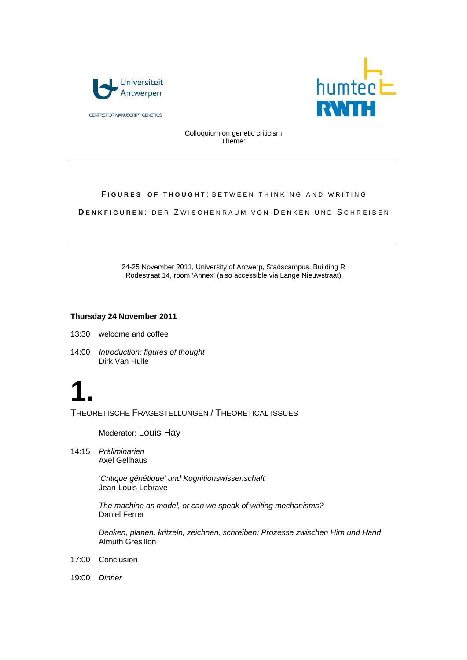

CENTRE FOR MANUSCRIPT GENETICS



Colloquium on genetic criticism Theme:

#### **FIGURES OF THOUGHT: BETWEEN THINKING AND WRITING**

**DENKFIGUREN: DER ZWISCHENRAUM VON DENKEN UND SCHREIBEN** 

24-25 November 2011, University of Antwerp, Stadscampus, Building R Rodestraat 14, room 'Annex' (also accessible via Lange Nieuwstraat)

#### **Thursday 24 November 2011**

13:30 welcome and coffee

14:00 *Introduction: figures of thought*  Dirk Van Hulle

# **1.**

THEORETISCHE FRAGESTELLUNGEN / THEORETICAL ISSUES

Moderator: Louis Hay

14:15 *Präliminarien*  Axel Gellhaus

> *'Critique génétique' und Kognitionswissenschaft*  Jean-Louis Lebrave

*The machine as model, or can we speak of writing mechanisms?*  Daniel Ferrer

*Denken, planen, kritzeln, zeichnen, schreiben: Prozesse zwischen Hirn und Hand* Almuth Grésillon

- 17:00 Conclusion
- 19:00 *Dinner*